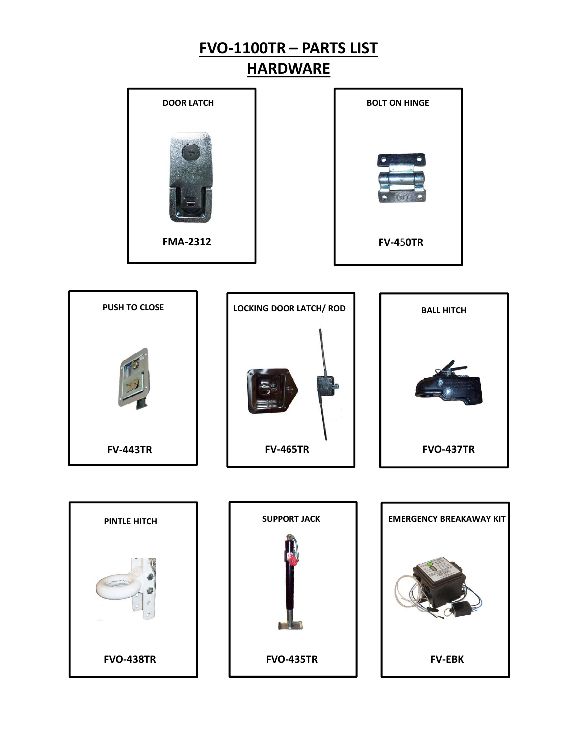





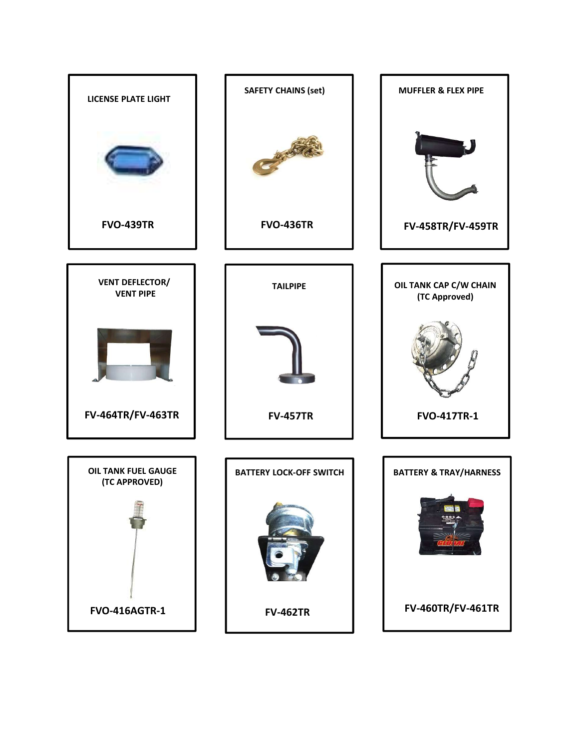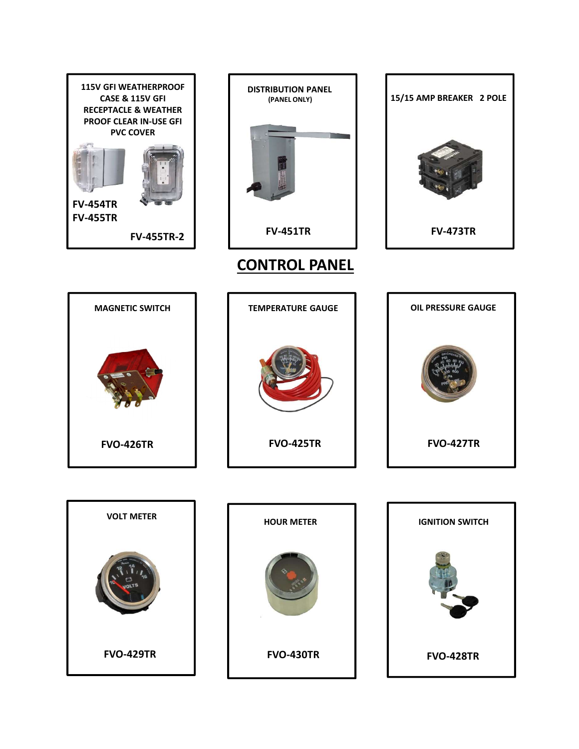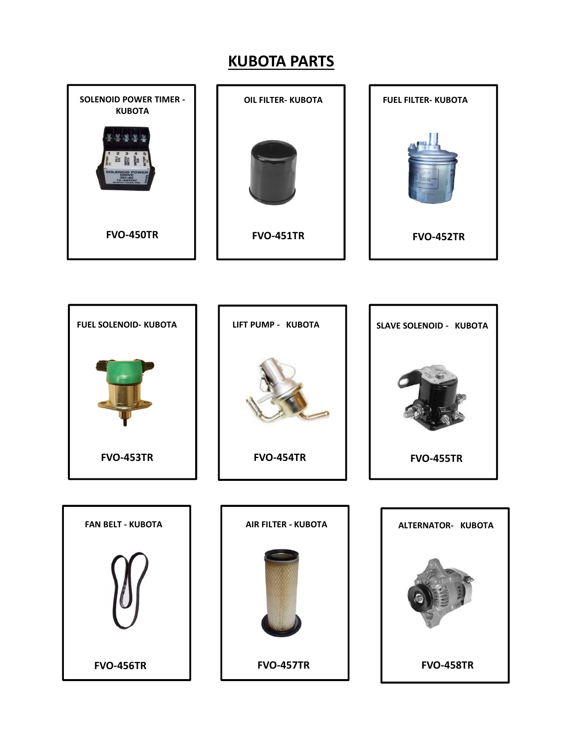## KUBOTA PARTS



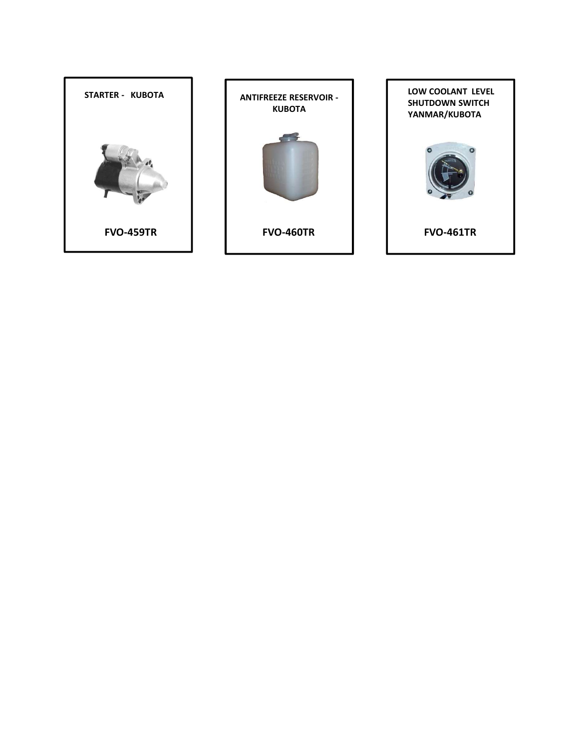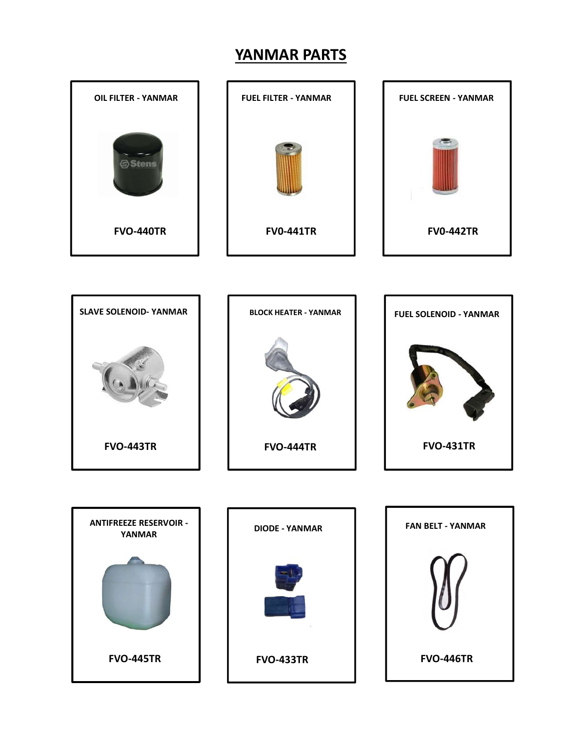## YANMAR PARTS



FVO-445TR FVO-433TR FVO-446TR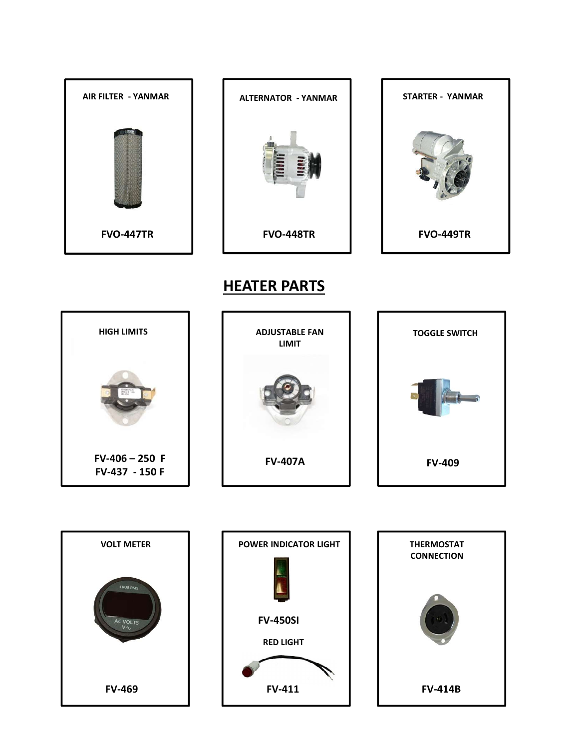

## HEATER PARTS

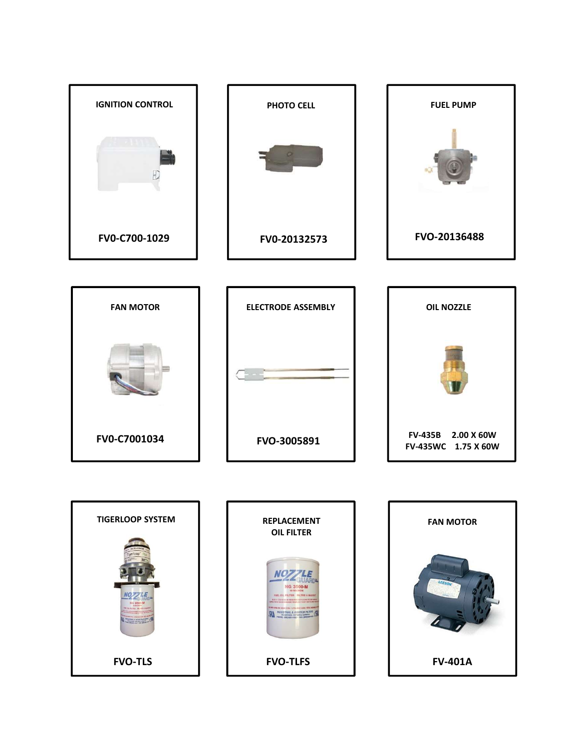